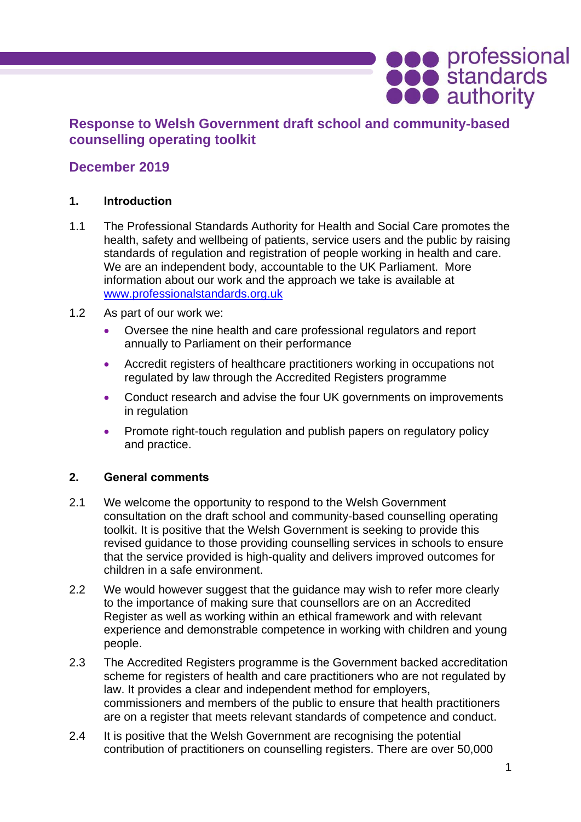# **Response to Welsh Government draft school and community-based counselling operating toolkit**

## **December 2019**

### **1. Introduction**

- 1.1 The Professional Standards Authority for Health and Social Care promotes the health, safety and wellbeing of patients, service users and the public by raising standards of regulation and registration of people working in health and care. We are an independent body, accountable to the UK Parliament. More information about our work and the approach we take is available at [www.professionalstandards.org.uk](http://www.professionalstandards.org.uk/)
- 1.2 As part of our work we:
	- Oversee the nine health and care professional regulators and report annually to Parliament on their performance
	- Accredit registers of healthcare practitioners working in occupations not regulated by law through the Accredited Registers programme
	- Conduct research and advise the four UK governments on improvements in regulation
	- Promote right-touch regulation and publish papers on regulatory policy and practice.

## **2. General comments**

- 2.1 We welcome the opportunity to respond to the Welsh Government consultation on the draft school and community-based counselling operating toolkit. It is positive that the Welsh Government is seeking to provide this revised guidance to those providing counselling services in schools to ensure that the service provided is high-quality and delivers improved outcomes for children in a safe environment.
- 2.2 We would however suggest that the guidance may wish to refer more clearly to the importance of making sure that counsellors are on an Accredited Register as well as working within an ethical framework and with relevant experience and demonstrable competence in working with children and young people.
- 2.3 The Accredited Registers programme is the Government backed accreditation scheme for registers of health and care practitioners who are not regulated by law. It provides a clear and independent method for employers, commissioners and members of the public to ensure that health practitioners are on a register that meets relevant standards of competence and conduct.
- 2.4 It is positive that the Welsh Government are recognising the potential contribution of practitioners on counselling registers. There are over 50,000

**ODO** professional<br> **ODO** authority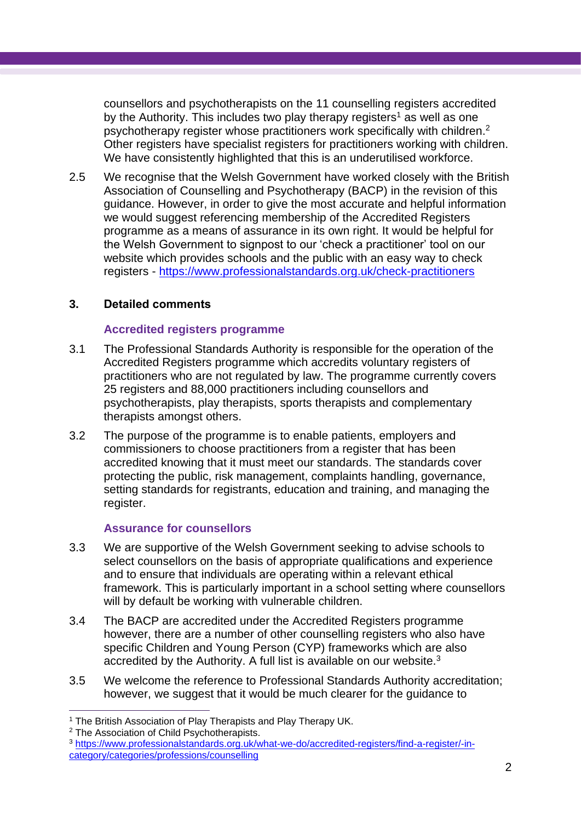counsellors and psychotherapists on the 11 counselling registers accredited by the Authority. This includes two play therapy registers<sup>1</sup> as well as one psychotherapy register whose practitioners work specifically with children.<sup>2</sup> Other registers have specialist registers for practitioners working with children. We have consistently highlighted that this is an underutilised workforce.

2.5 We recognise that the Welsh Government have worked closely with the British Association of Counselling and Psychotherapy (BACP) in the revision of this guidance. However, in order to give the most accurate and helpful information we would suggest referencing membership of the Accredited Registers programme as a means of assurance in its own right. It would be helpful for the Welsh Government to signpost to our 'check a practitioner' tool on our website which provides schools and the public with an easy way to check registers - <https://www.professionalstandards.org.uk/check-practitioners>

#### **3. Detailed comments**

#### **Accredited registers programme**

- 3.1 The Professional Standards Authority is responsible for the operation of the Accredited Registers programme which accredits voluntary registers of practitioners who are not regulated by law. The programme currently covers 25 registers and 88,000 practitioners including counsellors and psychotherapists, play therapists, sports therapists and complementary therapists amongst others.
- 3.2 The purpose of the programme is to enable patients, employers and commissioners to choose practitioners from a register that has been accredited knowing that it must meet our standards. The standards cover protecting the public, risk management, complaints handling, governance, setting standards for registrants, education and training, and managing the register.

#### **Assurance for counsellors**

- 3.3 We are supportive of the Welsh Government seeking to advise schools to select counsellors on the basis of appropriate qualifications and experience and to ensure that individuals are operating within a relevant ethical framework. This is particularly important in a school setting where counsellors will by default be working with vulnerable children.
- 3.4 The BACP are accredited under the Accredited Registers programme however, there are a number of other counselling registers who also have specific Children and Young Person (CYP) frameworks which are also accredited by the Authority. A full list is available on our website.<sup>3</sup>
- 3.5 We welcome the reference to Professional Standards Authority accreditation; however, we suggest that it would be much clearer for the guidance to

 $\overline{a}$ <sup>1</sup> The British Association of Play Therapists and Play Therapy UK.

<sup>2</sup> The Association of Child Psychotherapists.

<sup>3</sup> [https://www.professionalstandards.org.uk/what-we-do/accredited-registers/find-a-register/-in](https://www.professionalstandards.org.uk/what-we-do/accredited-registers/find-a-register/-in-category/categories/professions/counselling)[category/categories/professions/counselling](https://www.professionalstandards.org.uk/what-we-do/accredited-registers/find-a-register/-in-category/categories/professions/counselling)